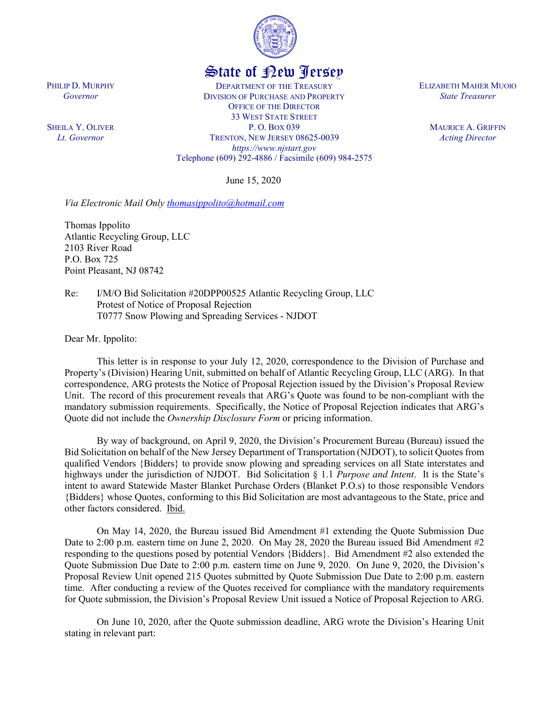

## State of New Jersey

DEPARTMENT OF THE TREASURY DIVISION OF PURCHASE AND PROPERTY OFFICE OF THE DIRECTOR 33 WEST STATE STREET P. O. BOX 039 TRENTON, NEW JERSEY 08625-0039 *https://www.njstart.gov* Telephone (609) 292-4886 / Facsimile (609) 984-2575

June 15, 2020

*Via Electronic Mail Only thomasippolito@hotmail.com* 

Thomas Ippolito Atlantic Recycling Group, LLC 2103 River Road P.O. Box 725 Point Pleasant, NJ 08742

Re: I/M/O Bid Solicitation #20DPP00525 Atlantic Recycling Group, LLC Protest of Notice of Proposal Rejection T0777 Snow Plowing and Spreading Services - NJDOT

Dear Mr. Ippolito:

PHILIP D. MURPHY *Governor*

SHEILA Y. OLIVER *Lt. Governor*

> This letter is in response to your July 12, 2020, correspondence to the Division of Purchase and Property's (Division) Hearing Unit, submitted on behalf of Atlantic Recycling Group, LLC (ARG). In that correspondence, ARG protests the Notice of Proposal Rejection issued by the Division's Proposal Review Unit. The record of this procurement reveals that ARG's Quote was found to be non-compliant with the mandatory submission requirements. Specifically, the Notice of Proposal Rejection indicates that ARG's Quote did not include the *Ownership Disclosure Form* or pricing information.

> By way of background, on April 9, 2020, the Division's Procurement Bureau (Bureau) issued the Bid Solicitation on behalf of the New Jersey Department of Transportation (NJDOT), to solicit Quotesfrom qualified Vendors {Bidders} to provide snow plowing and spreading services on all State interstates and highways under the jurisdiction of NJDOT. Bid Solicitation § 1.1 *Purpose and Intent*. It is the State's intent to award Statewide Master Blanket Purchase Orders (Blanket P.O.s) to those responsible Vendors {Bidders} whose Quotes, conforming to this Bid Solicitation are most advantageous to the State, price and other factors considered. Ibid.

> On May 14, 2020, the Bureau issued Bid Amendment #1 extending the Quote Submission Due Date to 2:00 p.m. eastern time on June 2, 2020. On May 28, 2020 the Bureau issued Bid Amendment #2 responding to the questions posed by potential Vendors {Bidders}. Bid Amendment #2 also extended the Quote Submission Due Date to 2:00 p.m. eastern time on June 9, 2020. On June 9, 2020, the Division's Proposal Review Unit opened 215 Quotes submitted by Quote Submission Due Date to 2:00 p.m. eastern time. After conducting a review of the Quotes received for compliance with the mandatory requirements for Quote submission, the Division's Proposal Review Unit issued a Notice of Proposal Rejection to ARG.

> On June 10, 2020, after the Quote submission deadline, ARG wrote the Division's Hearing Unit stating in relevant part:

ELIZABETH MAHER MUOIO *State Treasurer*

> MAURICE A. GRIFFIN *Acting Director*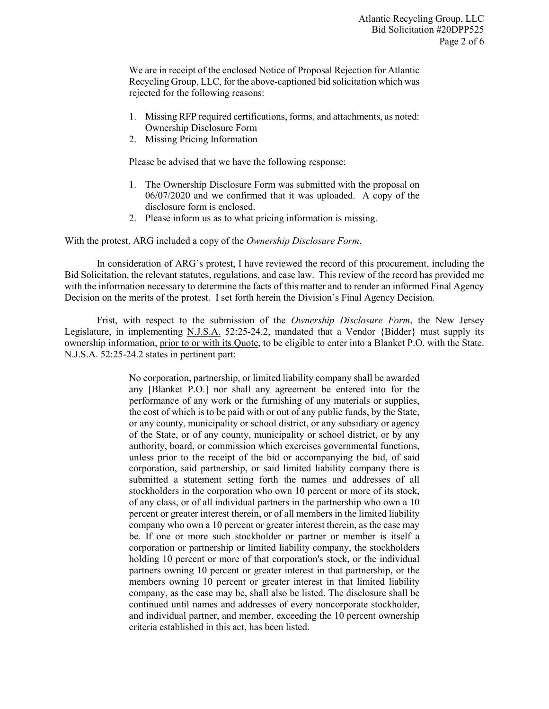We are in receipt of the enclosed Notice of Proposal Rejection for Atlantic Recycling Group, LLC, for the above-captioned bid solicitation which was rejected for the following reasons:

- 1. Missing RFP required certifications, forms, and attachments, as noted: Ownership Disclosure Form
- 2. Missing Pricing Information

Please be advised that we have the following response:

- 1. The Ownership Disclosure Form was submitted with the proposal on 06/07/2020 and we confirmed that it was uploaded. A copy of the disclosure form is enclosed.
- 2. Please inform us as to what pricing information is missing.

With the protest, ARG included a copy of the *Ownership Disclosure Form*.

In consideration of ARG's protest, I have reviewed the record of this procurement, including the Bid Solicitation, the relevant statutes, regulations, and case law. This review of the record has provided me with the information necessary to determine the facts of this matter and to render an informed Final Agency Decision on the merits of the protest. I set forth herein the Division's Final Agency Decision.

Frist, with respect to the submission of the *Ownership Disclosure Form*, the New Jersey Legislature, in implementing N.J.S.A. 52:25-24.2, mandated that a Vendor {Bidder} must supply its ownership information, prior to or with its Quote, to be eligible to enter into a Blanket P.O. with the State. N.J.S.A. 52:25-24.2 states in pertinent part:

> No corporation, partnership, or limited liability company shall be awarded any [Blanket P.O.] nor shall any agreement be entered into for the performance of any work or the furnishing of any materials or supplies, the cost of which is to be paid with or out of any public funds, by the State, or any county, municipality or school district, or any subsidiary or agency of the State, or of any county, municipality or school district, or by any authority, board, or commission which exercises governmental functions, unless prior to the receipt of the bid or accompanying the bid, of said corporation, said partnership, or said limited liability company there is submitted a statement setting forth the names and addresses of all stockholders in the corporation who own 10 percent or more of its stock, of any class, or of all individual partners in the partnership who own a 10 percent or greater interest therein, or of all members in the limited liability company who own a 10 percent or greater interest therein, as the case may be. If one or more such stockholder or partner or member is itself a corporation or partnership or limited liability company, the stockholders holding 10 percent or more of that corporation's stock, or the individual partners owning 10 percent or greater interest in that partnership, or the members owning 10 percent or greater interest in that limited liability company, as the case may be, shall also be listed. The disclosure shall be continued until names and addresses of every noncorporate stockholder, and individual partner, and member, exceeding the 10 percent ownership criteria established in this act, has been listed.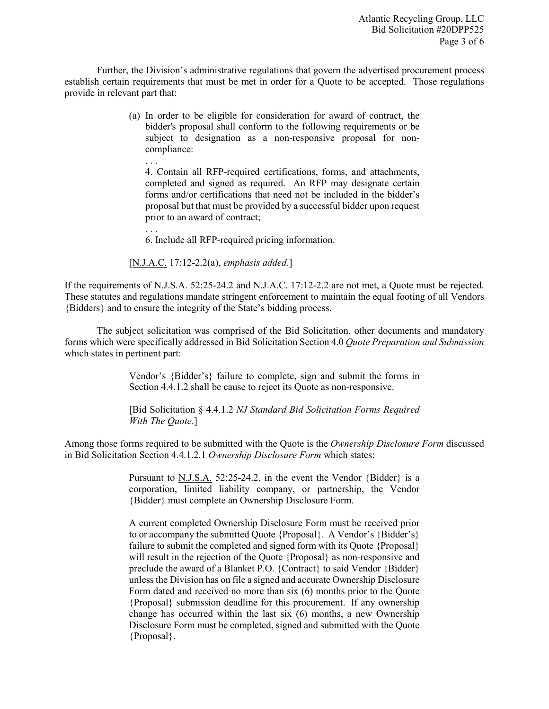Further, the Division's administrative regulations that govern the advertised procurement process establish certain requirements that must be met in order for a Quote to be accepted. Those regulations provide in relevant part that:

> (a) In order to be eligible for consideration for award of contract, the bidder's proposal shall conform to the following requirements or be subject to designation as a non-responsive proposal for noncompliance:

4. Contain all RFP-required certifications, forms, and attachments, completed and signed as required. An RFP may designate certain forms and/or certifications that need not be included in the bidder's proposal but that must be provided by a successful bidder upon request prior to an award of contract;

. . . 6. Include all RFP-required pricing information.

[N.J.A.C. 17:12-2.2(a), *emphasis added*.]

. . .

If the requirements of N.J.S.A. 52:25-24.2 and N.J.A.C. 17:12-2.2 are not met, a Quote must be rejected. These statutes and regulations mandate stringent enforcement to maintain the equal footing of all Vendors {Bidders} and to ensure the integrity of the State's bidding process.

The subject solicitation was comprised of the Bid Solicitation, other documents and mandatory forms which were specifically addressed in Bid Solicitation Section 4.0 *Quote Preparation and Submission*  which states in pertinent part:

> Vendor's {Bidder's} failure to complete, sign and submit the forms in Section 4.4.1.2 shall be cause to reject its Quote as non-responsive.

> [Bid Solicitation § 4.4.1.2 *NJ Standard Bid Solicitation Forms Required With The Quote*.]

Among those forms required to be submitted with the Quote is the *Ownership Disclosure Form* discussed in Bid Solicitation Section 4.4.1.2.1 *Ownership Disclosure Form* which states:

> Pursuant to N.J.S.A. 52:25-24.2, in the event the Vendor {Bidder} is a corporation, limited liability company, or partnership, the Vendor {Bidder} must complete an Ownership Disclosure Form.

> A current completed Ownership Disclosure Form must be received prior to or accompany the submitted Quote {Proposal}. A Vendor's {Bidder's} failure to submit the completed and signed form with its Quote {Proposal} will result in the rejection of the Quote {Proposal} as non-responsive and preclude the award of a Blanket P.O. {Contract} to said Vendor {Bidder} unless the Division has on file a signed and accurate Ownership Disclosure Form dated and received no more than six (6) months prior to the Quote {Proposal} submission deadline for this procurement. If any ownership change has occurred within the last six (6) months, a new Ownership Disclosure Form must be completed, signed and submitted with the Quote {Proposal}.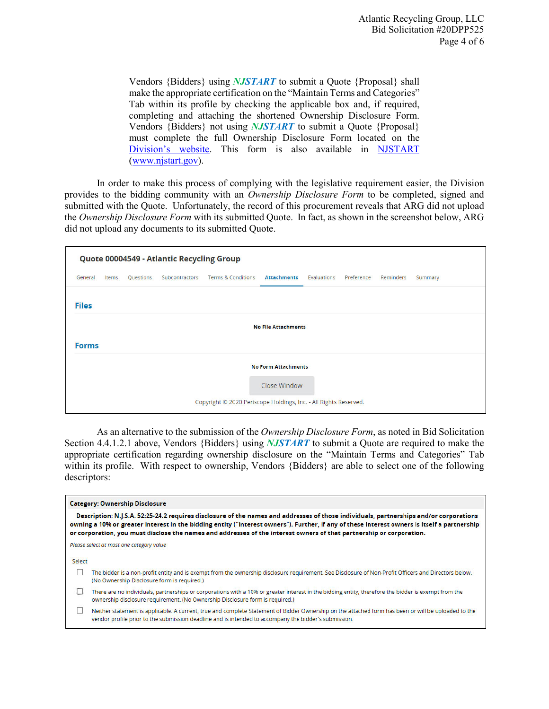Vendors {Bidders} using *NJSTART* to submit a Quote {Proposal} shall make the appropriate certification on the "Maintain Terms and Categories" Tab within its profile by checking the applicable box and, if required, completing and attaching the shortened Ownership Disclosure Form. Vendors {Bidders} not using *NJSTART* to submit a Quote {Proposal} must complete the full Ownership Disclosure Form located on the Division's website. This form is also available in NJSTART (www.njstart.gov).

In order to make this process of complying with the legislative requirement easier, the Division provides to the bidding community with an *Ownership Disclosure Form* to be completed, signed and submitted with the Quote. Unfortunately, the record of this procurement reveals that ARG did not upload the *Ownership Disclosure Form* with its submitted Quote. In fact, as shown in the screenshot below, ARG did not upload any documents to its submitted Quote.

| Quote 00004549 - Atlantic Recycling Group |       |           |                |                               |                            |             |            |           |         |  |
|-------------------------------------------|-------|-----------|----------------|-------------------------------|----------------------------|-------------|------------|-----------|---------|--|
| General                                   | Items | Questions | Subcontractors | <b>Terms &amp; Conditions</b> | <b>Attachments</b>         | Evaluations | Preference | Reminders | Summary |  |
|                                           |       |           |                |                               |                            |             |            |           |         |  |
| <b>Files</b>                              |       |           |                |                               |                            |             |            |           |         |  |
| <b>No File Attachments</b>                |       |           |                |                               |                            |             |            |           |         |  |
| <b>Forms</b>                              |       |           |                |                               |                            |             |            |           |         |  |
|                                           |       |           |                |                               |                            |             |            |           |         |  |
|                                           |       |           |                |                               | <b>No Form Attachments</b> |             |            |           |         |  |
|                                           |       |           |                |                               | Close Window               |             |            |           |         |  |
|                                           |       |           |                |                               |                            |             |            |           |         |  |

As an alternative to the submission of the *Ownership Disclosure Form*, as noted in Bid Solicitation Section 4.4.1.2.1 above, Vendors {Bidders} using *NJSTART* to submit a Quote are required to make the appropriate certification regarding ownership disclosure on the "Maintain Terms and Categories" Tab within its profile. With respect to ownership, Vendors {Bidders} are able to select one of the following descriptors:

|        | Description: N.J.S.A. 52:25-24.2 requires disclosure of the names and addresses of those individuals, partnerships and/or corporations<br>owning a 10% or greater interest in the bidding entity ("interest owners"). Further, if any of these interest owners is itself a partnership<br>or corporation, you must disclose the names and addresses of the interest owners of that partnership or corporation. |
|--------|----------------------------------------------------------------------------------------------------------------------------------------------------------------------------------------------------------------------------------------------------------------------------------------------------------------------------------------------------------------------------------------------------------------|
|        | Please select at most one category value                                                                                                                                                                                                                                                                                                                                                                       |
| Select |                                                                                                                                                                                                                                                                                                                                                                                                                |
|        | The bidder is a non-profit entity and is exempt from the ownership disclosure requirement. See Disclosure of Non-Profit Officers and Directors below.<br>(No Ownership Disclosure form is required.)                                                                                                                                                                                                           |
|        | There are no individuals, partnerships or corporations with a 10% or greater interest in the bidding entity, therefore the bidder is exempt from the<br>ownership disclosure requirement. (No Ownership Disclosure form is required.)                                                                                                                                                                          |
|        | Neither statement is applicable. A current, true and complete Statement of Bidder Ownership on the attached form has been or will be uploaded to the<br>vendor profile prior to the submission deadline and is intended to accompany the bidder's submission.                                                                                                                                                  |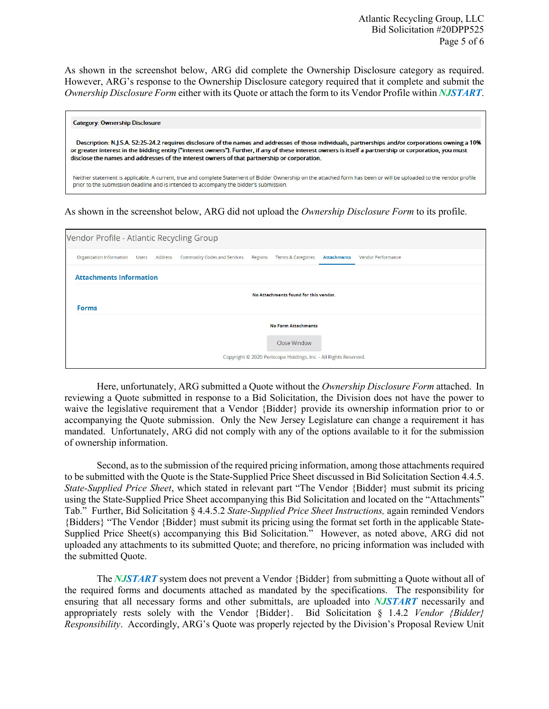As shown in the screenshot below, ARG did complete the Ownership Disclosure category as required. However, ARG's response to the Ownership Disclosure category required that it complete and submit the *Ownership Disclosure Form* either with its Quote or attach the form to its Vendor Profile within *NJSTART*.

| <b>Category: Ownership Disclosure</b>                                                                                                                                                                                                                                                                                                                                                                          |
|----------------------------------------------------------------------------------------------------------------------------------------------------------------------------------------------------------------------------------------------------------------------------------------------------------------------------------------------------------------------------------------------------------------|
| Description: N.J.S.A. 52:25-24.2 requires disclosure of the names and addresses of those individuals, partnerships and/or corporations owning a 10%<br>or greater interest in the bidding entity ("interest owners"). Further, if any of these interest owners is itself a partnership or corporation, you must<br>disclose the names and addresses of the interest owners of that partnership or corporation. |
| Neither statement is applicable. A current, true and complete Statement of Bidder Ownership on the attached form has been or will be uploaded to the vendor profile<br>prior to the submission deadline and is intended to accompany the bidder's submission.                                                                                                                                                  |

As shown in the screenshot below, ARG did not upload the *Ownership Disclosure Form* to its profile.

| Vendor Profile - Atlantic Recycling Group |                                                                  |  |                              |         |                               |                    |                           |  |  |  |
|-------------------------------------------|------------------------------------------------------------------|--|------------------------------|---------|-------------------------------|--------------------|---------------------------|--|--|--|
| Organization Information Users Address    |                                                                  |  | Commodity Codes and Services | Regions | <b>Terms &amp; Categories</b> | <b>Attachments</b> | <b>Vendor Performance</b> |  |  |  |
|                                           | <b>Attachments Information</b>                                   |  |                              |         |                               |                    |                           |  |  |  |
|                                           | No Attachments found for this vendor.                            |  |                              |         |                               |                    |                           |  |  |  |
| <b>Forms</b>                              |                                                                  |  |                              |         |                               |                    |                           |  |  |  |
|                                           | <b>No Form Attachments</b>                                       |  |                              |         |                               |                    |                           |  |  |  |
|                                           | Close Window                                                     |  |                              |         |                               |                    |                           |  |  |  |
|                                           | Copyright © 2020 Periscope Holdings, Inc. - All Rights Reserved. |  |                              |         |                               |                    |                           |  |  |  |

Here, unfortunately, ARG submitted a Quote without the *Ownership Disclosure Form* attached. In reviewing a Quote submitted in response to a Bid Solicitation, the Division does not have the power to waive the legislative requirement that a Vendor {Bidder} provide its ownership information prior to or accompanying the Quote submission. Only the New Jersey Legislature can change a requirement it has mandated. Unfortunately, ARG did not comply with any of the options available to it for the submission of ownership information.

Second, as to the submission of the required pricing information, among those attachments required to be submitted with the Quote is the State-Supplied Price Sheet discussed in Bid Solicitation Section 4.4.5. *State-Supplied Price Sheet*, which stated in relevant part "The Vendor {Bidder} must submit its pricing using the State-Supplied Price Sheet accompanying this Bid Solicitation and located on the "Attachments" Tab." Further, Bid Solicitation § 4.4.5.2 *State-Supplied Price Sheet Instructions,* again reminded Vendors {Bidders} "The Vendor {Bidder} must submit its pricing using the format set forth in the applicable State-Supplied Price Sheet(s) accompanying this Bid Solicitation." However, as noted above, ARG did not uploaded any attachments to its submitted Quote; and therefore, no pricing information was included with the submitted Quote.

The *NJSTART* system does not prevent a Vendor {Bidder} from submitting a Quote without all of the required forms and documents attached as mandated by the specifications. The responsibility for ensuring that all necessary forms and other submittals, are uploaded into *NJSTART* necessarily and appropriately rests solely with the Vendor {Bidder}. Bid Solicitation § 1.4.2 *Vendor {Bidder} Responsibility*. Accordingly, ARG's Quote was properly rejected by the Division's Proposal Review Unit